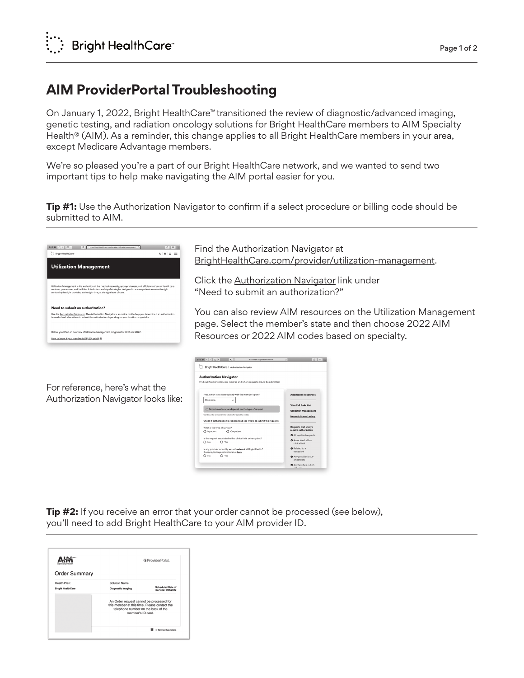## **AIM ProviderPortal Troubleshooting**

On January 1, 2022, Bright HealthCare™ transitioned the review of diagnostic/advanced imaging, genetic testing, and radiation oncology solutions for Bright HealthCare members to AIM Specialty Health® (AIM). As a reminder, this change applies to all Bright HealthCare members in your area, except Medicare Advantage members.

We're so pleased you're a part of our Bright HealthCare network, and we wanted to send two important tips to help make navigating the AIM portal easier for you.

**Tip #1:** Use the Authorization Navigator to confirm if a select procedure or billing code should be submitted to AIM.

| $\bullet \bullet \bullet \leftarrow \leftarrow \leftarrow \leftarrow \bullet \bullet \bullet$<br>Bright HealthCare                                                                                                                                                                                                                   | ☆ ■ |
|--------------------------------------------------------------------------------------------------------------------------------------------------------------------------------------------------------------------------------------------------------------------------------------------------------------------------------------|-----|
|                                                                                                                                                                                                                                                                                                                                      |     |
| <b>Utilization Management</b>                                                                                                                                                                                                                                                                                                        |     |
|                                                                                                                                                                                                                                                                                                                                      |     |
| Utilization Management is the evaluation of the medical necessity, appropriateness, and efficiency of use of health care<br>services, procedures, and facilities. It includes a variety of strategies designed to ensure patients receive the right<br>service by the right provider, at the right time, at the right level of care. |     |
|                                                                                                                                                                                                                                                                                                                                      |     |
| Need to submit an authorization?                                                                                                                                                                                                                                                                                                     |     |
| Use the Authorization Navigator. The Authorization Navigator is an online tool to help you determine if an authorization<br>is needed and where/how to submit the authorization depending on your location or specialty.                                                                                                             |     |
| Below, you'll find an overview of Utilization Management programs for 2021 and 2022.                                                                                                                                                                                                                                                 |     |

For reference, here's what the Authorization Navigator looks like: Find the Authorization Navigator at BrightHealthCare.com/provider/utilization-management.

Click the Authorization Navigator link under "Need to submit an authorization?"

You can also review AIM resources on the Utilization Management page. Select the member's state and then choose 2022 AIM Resources or 2022 AIM codes based on specialty.

| $0.0$ ( $ 1 $ )                                                                                         | $\bullet$                                            | & careteam.brighthealthcare.com | c. |                                                      | $0$ = |
|---------------------------------------------------------------------------------------------------------|------------------------------------------------------|---------------------------------|----|------------------------------------------------------|-------|
| Bright HealthCare   Authorization Navigator                                                             |                                                      |                                 |    |                                                      |       |
| <b>Authorization Navigator</b>                                                                          |                                                      |                                 |    |                                                      |       |
| Find out if authorizations are required and where requests should be submitted.                         |                                                      |                                 |    |                                                      |       |
| First, which state is associated with the member's plan?<br>Oklahoma                                    |                                                      |                                 |    | <b>Additional Resources</b><br>View Full Code List   |       |
|                                                                                                         | 5 Submission location depends on the type of request |                                 |    | <b>Utilization Management</b>                        |       |
| Continue to see where to submit for specific codes                                                      |                                                      |                                 |    | <b>Network Status Lookup</b>                         |       |
| Check if authorization is required and see where to submit the requests                                 |                                                      |                                 |    |                                                      |       |
| What is the type of service?<br>Inpatient                                                               | O Outpatient                                         |                                 |    | <b>Requests that always</b><br>require authorization |       |
|                                                                                                         |                                                      |                                 |    | All inpatient requests                               |       |
| Is the request associated with a clinical trial or transplant?<br>O No<br>$\bigcap$ Yes                 |                                                      |                                 |    | <b>@</b> Associated with a<br>clinical trial         |       |
| Is any provider or facility out-of-network at Bright Health?<br>If unsure, look up network status here. |                                                      |                                 |    | <sup>6</sup> Related to a<br>transplant              |       |
| No<br>Yes<br>∩                                                                                          |                                                      |                                 |    | Any provider is out-<br>of-network                   |       |
|                                                                                                         |                                                      |                                 |    | Any facility is out-of-<br>notunde                   |       |

**Tip #2:** If you receive an error that your order cannot be processed (see below), you'll need to add Bright HealthCare to your AIM provider ID.

|                                                                                                                                                      | <b>&amp; ProviderPortal.</b>                   |
|------------------------------------------------------------------------------------------------------------------------------------------------------|------------------------------------------------|
|                                                                                                                                                      |                                                |
| Solution Name:                                                                                                                                       |                                                |
| <b>Diagnostic Imaging</b>                                                                                                                            | <b>Scheduled Date of</b><br>Service: 1/21/2022 |
| An Order request cannot be processed for<br>this member at this time. Please contact the<br>telephone number on the back of the<br>member's ID card. |                                                |
|                                                                                                                                                      |                                                |